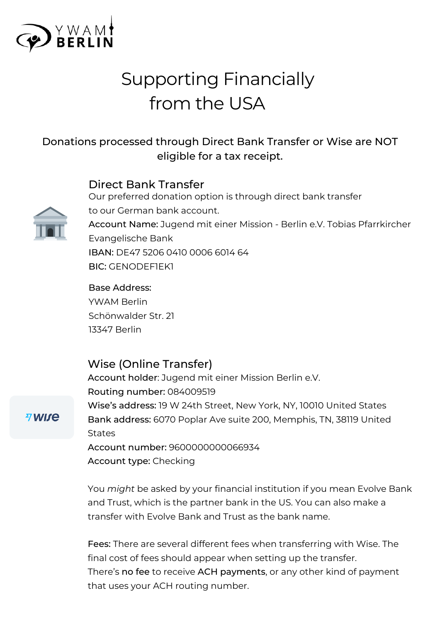

# Supporting Financially from the USA

## Donations processed through Direct Bank Transfer or Wise are NOT eligible for a tax receipt.

#### Direct Bank Transfer



Our preferred donation option is through direct bank transfer to our German bank account. Account Name: Jugend mit einer Mission - Berlin e.V. Tobias Pfarrkircher Evangelische Bank IBAN: DE47 5206 0410 0006 6014 64 BIC: GENODEF1EK1

Base Address: YWAM Berlin Schönwalder Str. 21 13347 Berlin

#### Wise (Online Transfer)

Account holder: Jugend mit einer Mission Berlin e.V. Routing number: 084009519 Wise's address: 19 W 24th Street, New York, NY, 10010 United States Bank address: 6070 Poplar Ave suite 200, Memphis, TN, 38119 United **States** Account number: 9600000000066934

Account type: Checking

You *might* be asked by your financial institution if you mean Evolve Bank and Trust, which is the partner bank in the US. You can also make a transfer with Evolve Bank and Trust as the bank name.

Fees: There are several different fees when transferring with Wise. The final cost of fees should appear when setting up the transfer. There's no fee to receive ACH payments, or any other kind of payment that uses your ACH routing number.

#### *A* **WISE**